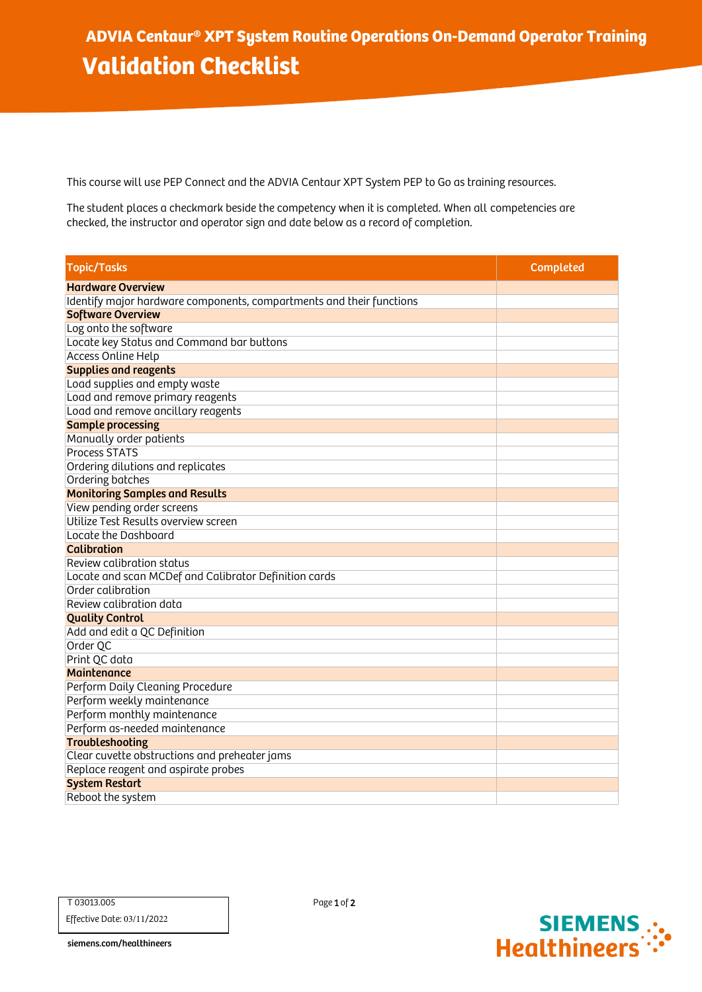This course will use PEP Connect and the ADVIA Centaur XPT System PEP to Go as training resources.

The student places a checkmark beside the competency when it is completed. When all competencies are checked, the instructor and operator sign and date below as a record of completion.

| <b>Topic/Tasks</b>                                                   | <b>Completed</b> |
|----------------------------------------------------------------------|------------------|
| <b>Hardware Overview</b>                                             |                  |
| Identify major hardware components, compartments and their functions |                  |
| <b>Software Overview</b>                                             |                  |
| Log onto the software                                                |                  |
| Locate key Status and Command bar buttons                            |                  |
| <b>Access Online Help</b>                                            |                  |
| <b>Supplies and reagents</b>                                         |                  |
| Load supplies and empty waste                                        |                  |
| Load and remove primary reagents                                     |                  |
| Load and remove ancillary reagents                                   |                  |
| <b>Sample processing</b>                                             |                  |
| Manually order patients                                              |                  |
| <b>Process STATS</b>                                                 |                  |
| Ordering dilutions and replicates                                    |                  |
| Ordering batches                                                     |                  |
| <b>Monitoring Samples and Results</b>                                |                  |
| View pending order screens                                           |                  |
| Utilize Test Results overview screen                                 |                  |
| Locate the Dashboard                                                 |                  |
| <b>Calibration</b>                                                   |                  |
| Review calibration status                                            |                  |
| Locate and scan MCDef and Calibrator Definition cards                |                  |
| Order calibration                                                    |                  |
| Review calibration data                                              |                  |
| <b>Quality Control</b>                                               |                  |
| Add and edit a QC Definition                                         |                  |
| Order QC                                                             |                  |
| Print QC data                                                        |                  |
| <b>Maintenance</b>                                                   |                  |
| Perform Daily Cleaning Procedure                                     |                  |
| Perform weekly maintenance                                           |                  |
| Perform monthly maintenance                                          |                  |
| Perform as-needed maintenance                                        |                  |
| <b>Troubleshooting</b>                                               |                  |
| Clear cuvette obstructions and preheater jams                        |                  |
| Replace reagent and aspirate probes                                  |                  |
| <b>System Restart</b>                                                |                  |
| Reboot the system                                                    |                  |



siemens.com/healthineers